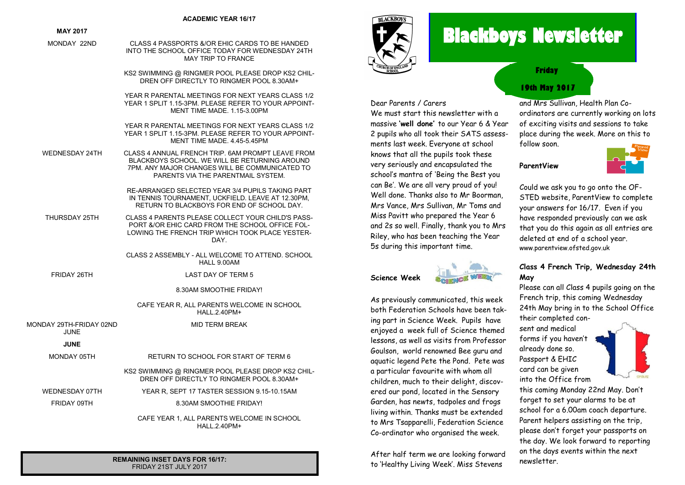#### **ACADEMIC YEAR 16/17**

#### **MAY 2017**

MONDAY 22ND CLASS 4 PASSPORTS &/OR EHIC CARDS TO BE HANDED

INTO THE SCHOOL OFFICE TODAY FOR WEDNESDAY 24TH MAY TRIP TO FRANCE

KS2 SWIMMING @ RINGMER POOL PLEASE DROP KS2 CHIL-DREN OFF DIRECTLY TO RINGMER POOL 8.30AM+

YEAR R PARENTAL MEETINGS FOR NEXT YEARS CLASS 1/2 YEAR 1 SPLIT 1.15-3PM. PLEASE REFER TO YOUR APPOINT-MENT TIME MADE. 1.15-3.00PM

YEAR R PARENTAL MEETINGS FOR NEXT YEARS CLASS 1/2 YEAR 1 SPLIT 1 15-3PM. PLEASE REFER TO YOUR APPOINT-MENT TIME MADE. 4.45-5.45PM

WEDNESDAY 24TH CLASS 4 ANNUAL FRENCH TRIP. 6AM PROMPT LEAVE FROM BLACKBOYS SCHOOL. WE WILL BE RETURNING AROUND 7PM. ANY MAJOR CHANGES WILL BE COMMUNICATED TO PARENTS VIA THE PARENTMAIL SYSTEM.

> RE-ARRANGED SELECTED YEAR 3/4 PUPILS TAKING PART IN TENNIS TOURNAMENT, UCKFIELD, LEAVE AT 12,30PM RETURN TO BLACKBOYS FOR END OF SCHOOL DAY.

- THURSDAY 25TH CLASS 4 PARENTS PLEASE COLLECT YOUR CHILD'S PASS-PORT &/OR EHIC CARD FROM THE SCHOOL OFFICE FOL-LOWING THE FRENCH TRIP WHICH TOOK PLACE YESTER-DAY.
	- CLASS 2 ASSEMBLY ALL WELCOME TO ATTEND. SCHOOL HALL 9.00AM

FRIDAY 26TH LAST DAY OF TERM 5

8.30AM SMOOTHIE FRIDAY!

CAFE YEAR R, ALL PARENTS WELCOME IN SCHOOL HALL.2.40PM+

MID TERM BREAK

MONDAY 29TH-FRIDAY 02ND JUNE

#### **JUNE**

MONDAY 05TH RETURN TO SCHOOL FOR START OF TERM 6

KS2 SWIMMING @ RINGMER POOL PLEASE DROP KS2 CHIL-DREN OFF DIRECTLY TO RINGMER POOL 8.30AM+

WEDNESDAY 07TH YEAR R, SEPT 17 TASTER SESSION 9.15-10.15AM

FRIDAY 09TH 8.30AM SMOOTHIE FRIDAY!

CAFE YEAR 1, ALL PARENTS WELCOME IN SCHOOL HALL.2.40PM+

**REMAINING INSET DAYS FOR 16/17:** FRIDAY 21ST JULY 2017



# **Blackboys Newsletter**

#### Dear Parents / Carers

**Science Week**

We must start this newsletter with a massive **'well done'** to our Year 6 & Year 2 pupils who all took their SATS assessments last week. Everyone at school knows that all the pupils took these very seriously and encapsulated the school's mantra of 'Being the Best you can Be'. We are all very proud of you! Well done. Thanks also to Mr Boorman, Mrs Vance, Mrs Sullivan, Mr Toms and Miss Pavitt who prepared the Year 6 and 2s so well. Finally, thank you to Mrs Riley, who has been teaching the Year 5s during this important time.



As previously communicated, this week both Federation Schools have been taking part in Science Week. Pupils have enjoyed a week full of Science themed lessons, as well as visits from Professor Goulson, world renowned Bee guru and aquatic legend Pete the Pond. Pete was a particular favourite with whom all children, much to their delight, discovered our pond, located in the Sensory Garden, has newts, tadpoles and frogs living within. Thanks must be extended to Mrs Tsapparelli, Federation Science Co-ordinator who organised the week.

After half term we are looking forward to 'Healthy Living Week'. Miss Stevens

## **19th May 2017 Friday**

and Mrs Sullivan, Health Plan Coordinators are currently working on lots of exciting visits and sessions to take place during the week. More on this to follow soon.

**ParentView**



Could we ask you to go onto the OF-STED website, ParentView to complete your answers for 16/17. Even if you have responded previously can we ask that you do this again as all entries are deleted at end of a school year. www.parentview.ofsted.gov.uk

#### **Class 4 French Trip, Wednesday 24th May**

Please can all Class 4 pupils going on the French trip, this coming Wednesday 24th May bring in to the School Office their completed con-

sent and medical forms if you haven't already done so. Passport & EHIC card can be given into the Office from



this coming Monday 22nd May. Don't forget to set your alarms to be at school for a 6.00am coach departure. Parent helpers assisting on the trip, please don't forget your passports on the day. We look forward to reporting on the days events within the next newsletter.